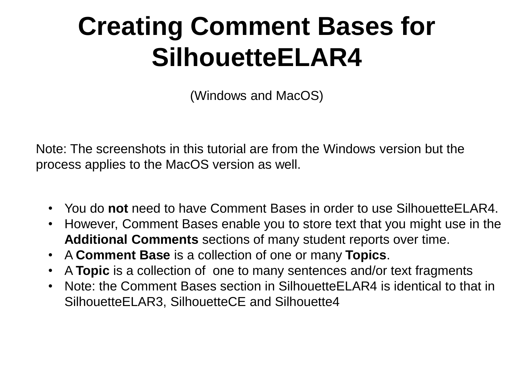# **Creating Comment Bases for SilhouetteELAR4**

(Windows and MacOS)

Note: The screenshots in this tutorial are from the Windows version but the process applies to the MacOS version as well.

- You do **not** need to have Comment Bases in order to use SilhouetteELAR4.
- However, Comment Bases enable you to store text that you might use in the **Additional Comments** sections of many student reports over time.
- A **Comment Base** is a collection of one or many **Topics**.
- A **Topic** is a collection of one to many sentences and/or text fragments
- Note: the Comment Bases section in SilhouetteELAR4 is identical to that in SilhouetteELAR3, SilhouetteCE and Silhouette4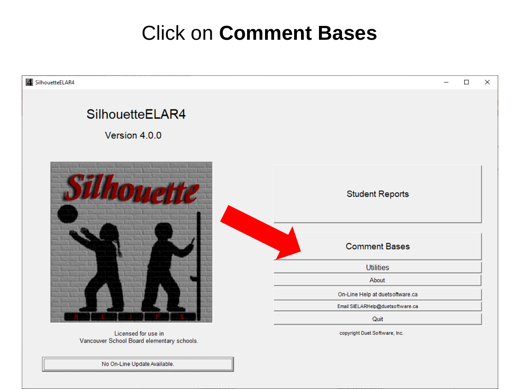## Click on **Comment Bases**



No On-Line Update Available.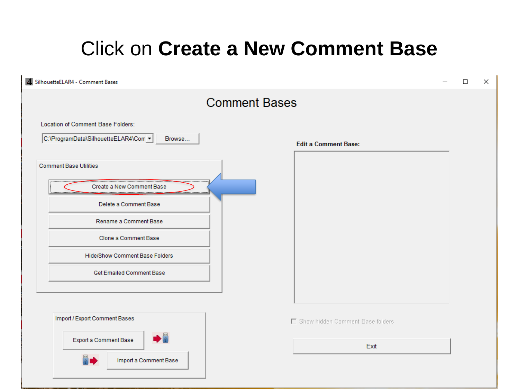## Click on **Create a New Comment Base**

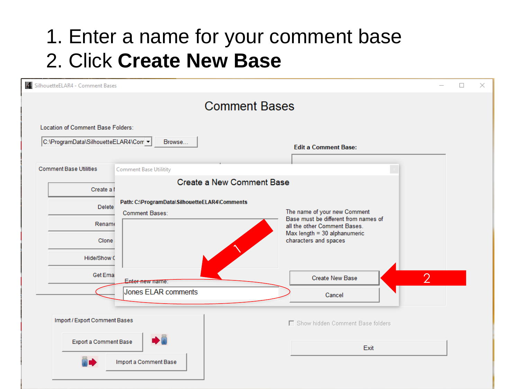## 1. Enter a name for your comment base 2. Click **Create New Base**

| SilhouetteELAR4 - Comment Bases                                           |                                                                        |                                                                      | $\Box$ | $\times$ |
|---------------------------------------------------------------------------|------------------------------------------------------------------------|----------------------------------------------------------------------|--------|----------|
|                                                                           |                                                                        | <b>Comment Bases</b>                                                 |        |          |
| Location of Comment Base Folders:<br>C:\ProgramData\SilhouetteELAR4\Com ▼ | Browse                                                                 | <b>Edit a Comment Base:</b>                                          |        |          |
|                                                                           |                                                                        |                                                                      |        |          |
| <b>Comment Base Utilities</b>                                             | <b>Comment Base Utilitity</b>                                          |                                                                      |        |          |
| Create a I                                                                | <b>Create a New Comment Base</b>                                       |                                                                      |        |          |
| Delete                                                                    | Path: C:\ProgramData\SilhouetteELAR4\Comments<br><b>Comment Bases:</b> | The name of your new Comment<br>Base must be different from names of |        |          |
| Rename                                                                    |                                                                        | all the other Comment Bases.                                         |        |          |
|                                                                           | Max length = 30 alphanumeric<br>characters and spaces<br>Clone         |                                                                      |        |          |
| Hide/Show C                                                               |                                                                        |                                                                      |        |          |
| <b>Get Emai</b>                                                           | Enter new name:                                                        | $\mathcal{D}$<br><b>Create New Base</b>                              |        |          |
|                                                                           | Jones ELAR comments                                                    | Cancel                                                               |        |          |
|                                                                           |                                                                        |                                                                      |        |          |
| Import / Export Comment Bases                                             |                                                                        | □ Show hidden Comment Base folders                                   |        |          |
| Export a Comment Base                                                     |                                                                        | Exit                                                                 |        |          |
|                                                                           | Import a Comment Base                                                  |                                                                      |        |          |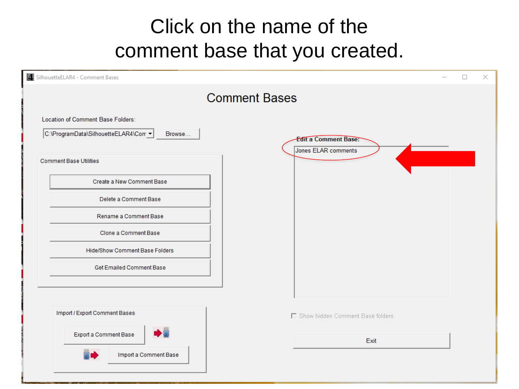## Click on the name of the comment base that you created.

| 4 SilhouetteELAR4 - Comment Bases                                                                                                                                                                         |                                                    | × |
|-----------------------------------------------------------------------------------------------------------------------------------------------------------------------------------------------------------|----------------------------------------------------|---|
|                                                                                                                                                                                                           | <b>Comment Bases</b>                               |   |
| Location of Comment Base Folders:<br>C:\ProgramData\SilhouetteELAR4\Com v<br>Browse                                                                                                                       | <b>Edit a Comment Base:</b><br>Jones ELAR comments |   |
| <b>Comment Base Utilities</b><br>Create a New Comment Base<br>Delete a Comment Base<br>Rename a Comment Base<br>Clone a Comment Base<br><b>Hide/Show Comment Base Folders</b><br>Get Emailed Comment Base |                                                    |   |
| Import / Export Comment Bases                                                                                                                                                                             | □ Show hidden Comment Base folders                 |   |
| Export a Comment Base<br>Import a Comment Base                                                                                                                                                            | Exit                                               |   |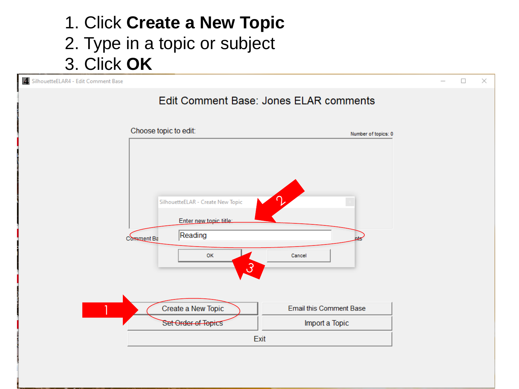#### 1. Click **Create a New Topic** 2. Type in a topic or subject 3. Click **OK**

4 SilhouetteELAR4 - Edit Comment Base

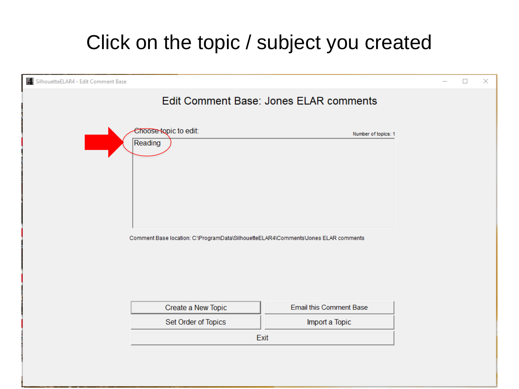#### Click on the topic / subject you created

| 4. SilhouetteELAR4 - Edit Comment Base |                                                                                    |                                        | п | $\times$ |
|----------------------------------------|------------------------------------------------------------------------------------|----------------------------------------|---|----------|
|                                        |                                                                                    | Edit Comment Base: Jones ELAR comments |   |          |
|                                        | Choose topic to edit:<br>Reading                                                   | Number of topics: 1                    |   |          |
|                                        | Comment Base location: C:\ProgramData\SilhouetteELAR4\Comments\Jones ELAR comments |                                        |   |          |
|                                        |                                                                                    |                                        |   |          |
|                                        | Create a New Topic                                                                 | <b>Email this Comment Base</b>         |   |          |
|                                        | Set Order of Topics                                                                | Import a Topic                         |   |          |
|                                        |                                                                                    | Exit                                   |   |          |
|                                        |                                                                                    |                                        |   |          |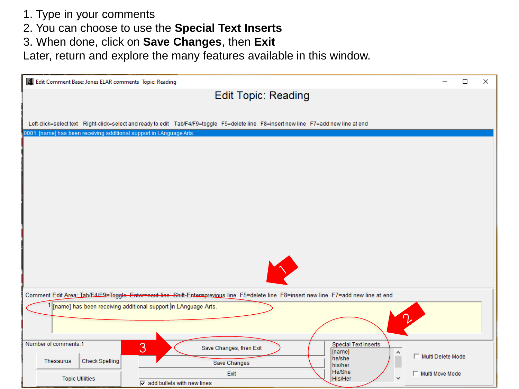- 1. Type in your comments
- 2. You can choose to use the **Special Text Inserts**
- 3. When done, click on **Save Changes**, then **Exit**

Later, return and explore the many features available in this window.

| 4 Edit Comment Base: Jones ELAR comments Topic: Reading |                                                               |                                                                                                                                        | □                 | $\times$ |  |
|---------------------------------------------------------|---------------------------------------------------------------|----------------------------------------------------------------------------------------------------------------------------------------|-------------------|----------|--|
|                                                         |                                                               | <b>Edit Topic: Reading</b>                                                                                                             |                   |          |  |
|                                                         |                                                               |                                                                                                                                        |                   |          |  |
|                                                         |                                                               | Left-click=select text Right-click=select and ready to edit Tab/F4/F9=toggle F5=delete line F8=insert new line F7=add new line at end  |                   |          |  |
|                                                         |                                                               | 0001. [name] has been receiving additional support in LAnguage Arts.                                                                   |                   |          |  |
|                                                         |                                                               |                                                                                                                                        |                   |          |  |
|                                                         |                                                               |                                                                                                                                        |                   |          |  |
|                                                         |                                                               |                                                                                                                                        |                   |          |  |
|                                                         |                                                               |                                                                                                                                        |                   |          |  |
|                                                         |                                                               |                                                                                                                                        |                   |          |  |
|                                                         |                                                               |                                                                                                                                        |                   |          |  |
|                                                         |                                                               |                                                                                                                                        |                   |          |  |
|                                                         |                                                               |                                                                                                                                        |                   |          |  |
|                                                         |                                                               |                                                                                                                                        |                   |          |  |
|                                                         |                                                               |                                                                                                                                        |                   |          |  |
|                                                         |                                                               |                                                                                                                                        |                   |          |  |
|                                                         |                                                               | Comment Edit Area: Tab/F4/F9=Toggle Enter=next line Shift-Enter=previous line F5=delete line F8=insert new line F7=add new line at end |                   |          |  |
|                                                         |                                                               | 1 [name] has been receiving additional support in LAnguage Arts.                                                                       |                   |          |  |
|                                                         |                                                               |                                                                                                                                        |                   |          |  |
|                                                         |                                                               |                                                                                                                                        |                   |          |  |
| Number of comments:1                                    |                                                               | <b>Special Text Inserts</b><br>3<br>Save Changes, then Exit<br>[name]<br>$\hat{\phantom{a}}$                                           |                   |          |  |
| <b>Thesaurus</b>                                        | <b>Check Spelling</b>                                         | he/she<br>Save Changes<br>his/her                                                                                                      | Multi Delete Mode |          |  |
|                                                         |                                                               | He/She<br>Exit<br>His/Her<br>v                                                                                                         | Multi Move Mode   |          |  |
|                                                         | <b>Topic Utilities</b><br>$\nabla$ add bullets with new lines |                                                                                                                                        |                   |          |  |